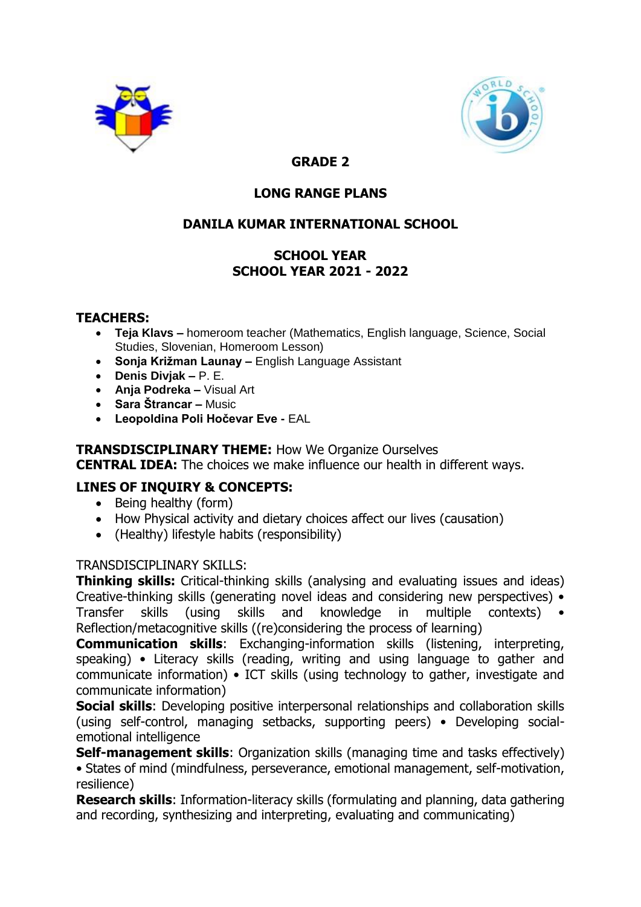



# **GRADE 2**

# **LONG RANGE PLANS**

# **DANILA KUMAR INTERNATIONAL SCHOOL**

# **SCHOOL YEAR SCHOOL YEAR 2021 - 2022**

#### **TEACHERS:**

- **Teja Klavs –** homeroom teacher (Mathematics, English language, Science, Social Studies, Slovenian, Homeroom Lesson)
- **Sonja Križman Launay –** English Language Assistant
- **Denis Divjak –** P. E.
- **Anja Podreka –** Visual Art
- **Sara Štrancar –** Music
- **Leopoldina Poli Hočevar Eve -** EAL

#### **TRANSDISCIPLINARY THEME:** How We Organize Ourselves

**CENTRAL IDEA:** The choices we make influence our health in different ways.

## **LINES OF INQUIRY & CONCEPTS:**

- Being healthy (form)
- How Physical activity and dietary choices affect our lives (causation)
- (Healthy) lifestyle habits (responsibility)

#### TRANSDISCIPLINARY SKILLS:

**Thinking skills:** Critical-thinking skills (analysing and evaluating issues and ideas) Creative-thinking skills (generating novel ideas and considering new perspectives) • Transfer skills (using skills and knowledge in multiple contexts) • Reflection/metacognitive skills ((re)considering the process of learning)

**Communication skills**: Exchanging-information skills (listening, interpreting, speaking) • Literacy skills (reading, writing and using language to gather and communicate information) • ICT skills (using technology to gather, investigate and communicate information)

**Social skills**: Developing positive interpersonal relationships and collaboration skills (using self-control, managing setbacks, supporting peers) • Developing socialemotional intelligence

**Self-management skills**: Organization skills (managing time and tasks effectively) • States of mind (mindfulness, perseverance, emotional management, self-motivation, resilience)

**Research skills**: Information-literacy skills (formulating and planning, data gathering and recording, synthesizing and interpreting, evaluating and communicating)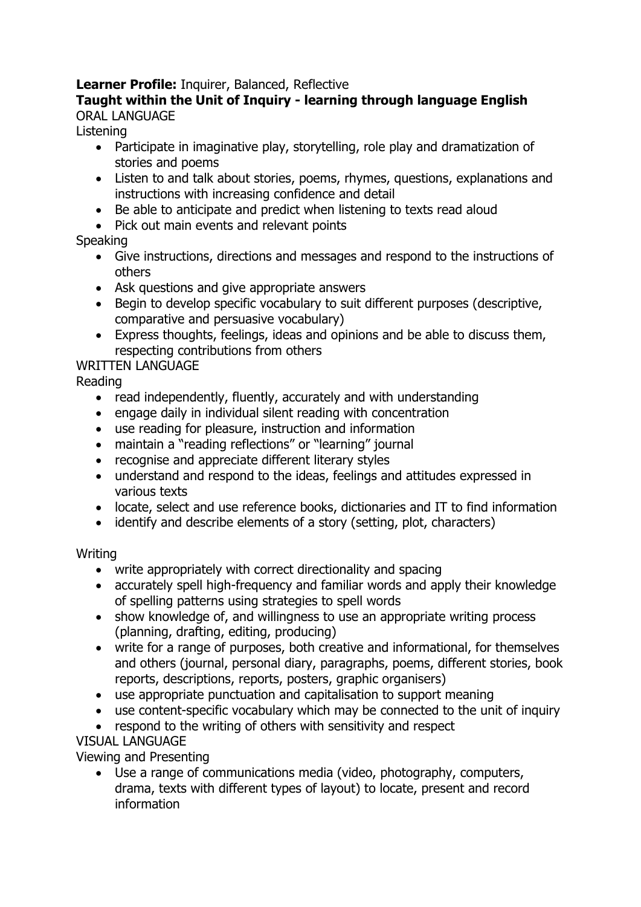# **Learner Profile:** Inquirer, Balanced, Reflective

#### **Taught within the Unit of Inquiry - learning through language English** ORAL LANGUAGE

#### Listening

- Participate in imaginative play, storytelling, role play and dramatization of stories and poems
- Listen to and talk about stories, poems, rhymes, questions, explanations and instructions with increasing confidence and detail
- Be able to anticipate and predict when listening to texts read aloud
- Pick out main events and relevant points

#### **Speaking**

- Give instructions, directions and messages and respond to the instructions of others
- Ask questions and give appropriate answers
- Begin to develop specific vocabulary to suit different purposes (descriptive, comparative and persuasive vocabulary)
- Express thoughts, feelings, ideas and opinions and be able to discuss them, respecting contributions from others

#### WRITTEN LANGUAGE

#### Reading

- read independently, fluently, accurately and with understanding
- engage daily in individual silent reading with concentration
- use reading for pleasure, instruction and information
- maintain a "reading reflections" or "learning" journal
- recognise and appreciate different literary styles
- understand and respond to the ideas, feelings and attitudes expressed in various texts
- locate, select and use reference books, dictionaries and IT to find information
- identify and describe elements of a story (setting, plot, characters)

#### Writing

- write appropriately with correct directionality and spacing
- accurately spell high-frequency and familiar words and apply their knowledge of spelling patterns using strategies to spell words
- show knowledge of, and willingness to use an appropriate writing process (planning, drafting, editing, producing)
- write for a range of purposes, both creative and informational, for themselves and others (journal, personal diary, paragraphs, poems, different stories, book reports, descriptions, reports, posters, graphic organisers)
- use appropriate punctuation and capitalisation to support meaning
- use content-specific vocabulary which may be connected to the unit of inquiry
- respond to the writing of others with sensitivity and respect

#### VISUAL LANGUAGE

Viewing and Presenting

 Use a range of communications media (video, photography, computers, drama, texts with different types of layout) to locate, present and record information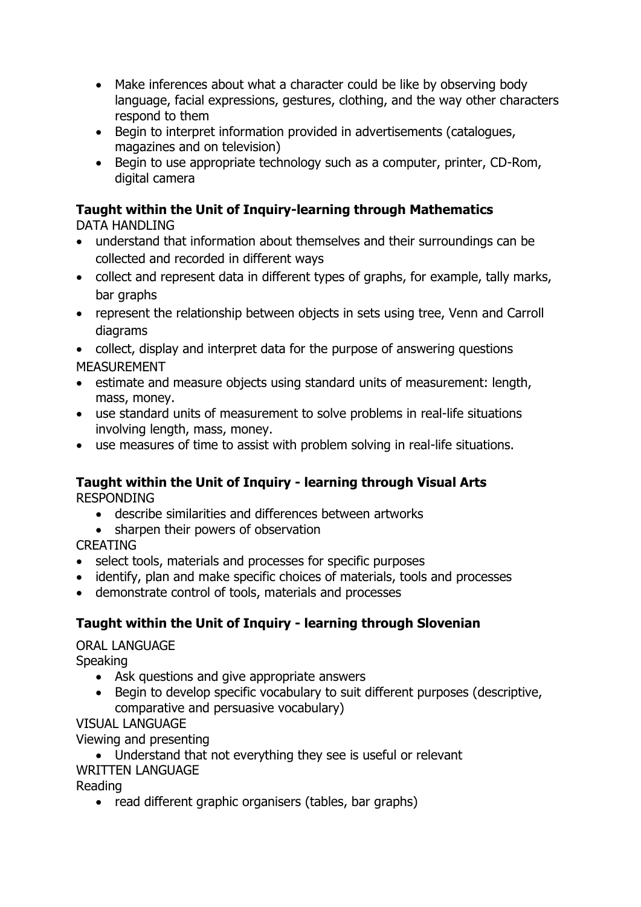- Make inferences about what a character could be like by observing body language, facial expressions, gestures, clothing, and the way other characters respond to them
- Begin to interpret information provided in advertisements (catalogues, magazines and on television)
- Begin to use appropriate technology such as a computer, printer, CD-Rom, digital camera

# **Taught within the Unit of Inquiry-learning through Mathematics**

DATA HANDI ING

- understand that information about themselves and their surroundings can be collected and recorded in different ways
- collect and represent data in different types of graphs, for example, tally marks, bar graphs
- represent the relationship between objects in sets using tree, Venn and Carroll diagrams
- collect, display and interpret data for the purpose of answering questions MEASUREMENT
- estimate and measure objects using standard units of measurement: length, mass, money.
- use standard units of measurement to solve problems in real-life situations involving length, mass, money.
- use measures of time to assist with problem solving in real-life situations.

# **Taught within the Unit of Inquiry - learning through Visual Arts**

RESPONDING

- describe similarities and differences between artworks
- sharpen their powers of observation

CREATING

- select tools, materials and processes for specific purposes
- identify, plan and make specific choices of materials, tools and processes
- demonstrate control of tools, materials and processes

# **Taught within the Unit of Inquiry - learning through Slovenian**

ORAL LANGUAGE

**Speaking** 

- Ask questions and give appropriate answers
- Begin to develop specific vocabulary to suit different purposes (descriptive, comparative and persuasive vocabulary)

VISUAL LANGUAGE

Viewing and presenting

Understand that not everything they see is useful or relevant

WRITTEN LANGUAGE

Reading

• read different graphic organisers (tables, bar graphs)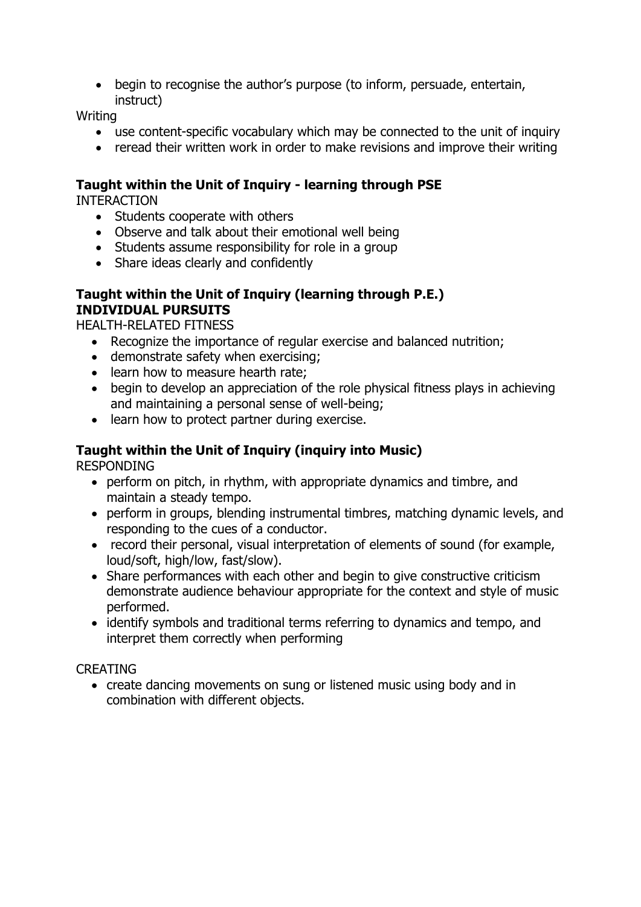• begin to recognise the author's purpose (to inform, persuade, entertain, instruct)

Writing

- use content-specific vocabulary which may be connected to the unit of inquiry
- reread their written work in order to make revisions and improve their writing

### **Taught within the Unit of Inquiry - learning through PSE**

INTERACTION

- Students cooperate with others
- Observe and talk about their emotional well being
- Students assume responsibility for role in a group
- Share ideas clearly and confidently

#### **Taught within the Unit of Inquiry (learning through P.E.) INDIVIDUAL PURSUITS**

HEALTH-RELATED FITNESS

- Recognize the importance of regular exercise and balanced nutrition;
- demonstrate safety when exercising;
- learn how to measure hearth rate;
- begin to develop an appreciation of the role physical fitness plays in achieving and maintaining a personal sense of well-being;
- learn how to protect partner during exercise.

# **Taught within the Unit of Inquiry (inquiry into Music)**

RESPONDING

- perform on pitch, in rhythm, with appropriate dynamics and timbre, and maintain a steady tempo.
- perform in groups, blending instrumental timbres, matching dynamic levels, and responding to the cues of a conductor.
- record their personal, visual interpretation of elements of sound (for example, loud/soft, high/low, fast/slow).
- Share performances with each other and begin to give constructive criticism demonstrate audience behaviour appropriate for the context and style of music performed.
- identify symbols and traditional terms referring to dynamics and tempo, and interpret them correctly when performing

## **CREATING**

• create dancing movements on sung or listened music using body and in combination with different objects.